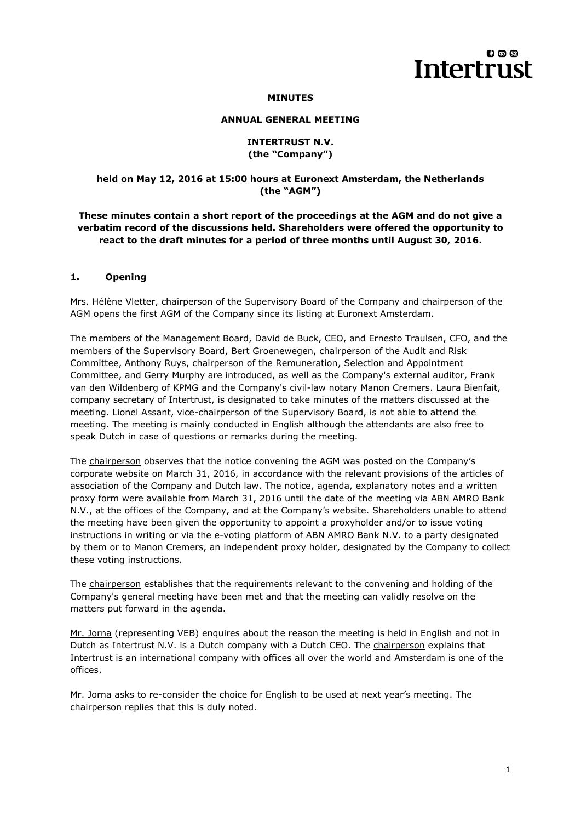# லை **Intertrust**

#### **MINUTES**

#### **ANNUAL GENERAL MEETING**

#### **INTERTRUST N.V. (the "Company")**

## **held on May 12, 2016 at 15:00 hours at Euronext Amsterdam, the Netherlands (the "AGM")**

# **These minutes contain a short report of the proceedings at the AGM and do not give a verbatim record of the discussions held. Shareholders were offered the opportunity to react to the draft minutes for a period of three months until August 30, 2016.**

## **1. Opening**

Mrs. Hélène Vletter, chairperson of the Supervisory Board of the Company and chairperson of the AGM opens the first AGM of the Company since its listing at Euronext Amsterdam.

The members of the Management Board, David de Buck, CEO, and Ernesto Traulsen, CFO, and the members of the Supervisory Board, Bert Groenewegen, chairperson of the Audit and Risk Committee, Anthony Ruys, chairperson of the Remuneration, Selection and Appointment Committee, and Gerry Murphy are introduced, as well as the Company's external auditor, Frank van den Wildenberg of KPMG and the Company's civil-law notary Manon Cremers. Laura Bienfait, company secretary of Intertrust, is designated to take minutes of the matters discussed at the meeting. Lionel Assant, vice-chairperson of the Supervisory Board, is not able to attend the meeting. The meeting is mainly conducted in English although the attendants are also free to speak Dutch in case of questions or remarks during the meeting.

The chairperson observes that the notice convening the AGM was posted on the Company's corporate website on March 31, 2016, in accordance with the relevant provisions of the articles of association of the Company and Dutch law. The notice, agenda, explanatory notes and a written proxy form were available from March 31, 2016 until the date of the meeting via ABN AMRO Bank N.V., at the offices of the Company, and at the Company's website. Shareholders unable to attend the meeting have been given the opportunity to appoint a proxyholder and/or to issue voting instructions in writing or via the e-voting platform of ABN AMRO Bank N.V. to a party designated by them or to Manon Cremers, an independent proxy holder, designated by the Company to collect these voting instructions.

The chairperson establishes that the requirements relevant to the convening and holding of the Company's general meeting have been met and that the meeting can validly resolve on the matters put forward in the agenda.

Mr. Jorna (representing VEB) enquires about the reason the meeting is held in English and not in Dutch as Intertrust N.V. is a Dutch company with a Dutch CEO. The chairperson explains that Intertrust is an international company with offices all over the world and Amsterdam is one of the offices.

Mr. Jorna asks to re-consider the choice for English to be used at next year's meeting. The chairperson replies that this is duly noted.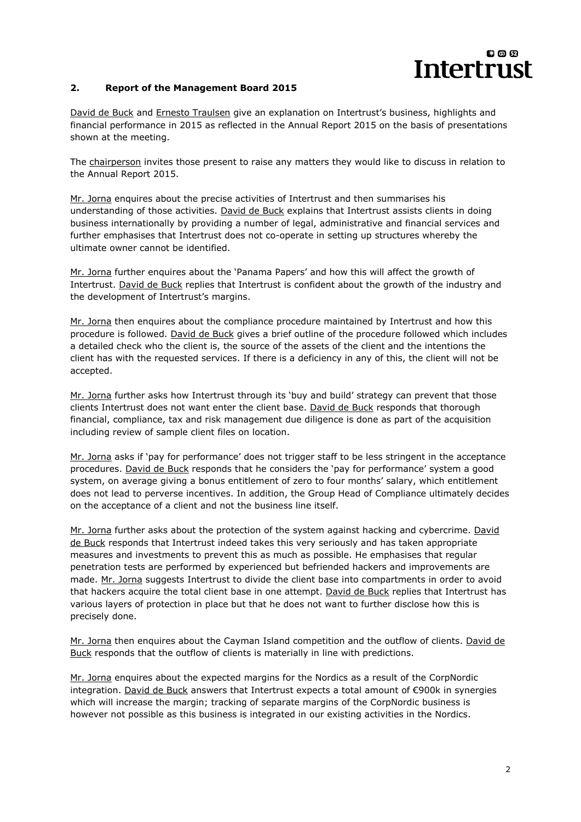# 00 Q **Intertrust**

## **2. Report of the Management Board 2015**

David de Buck and Ernesto Traulsen give an explanation on Intertrust's business, highlights and financial performance in 2015 as reflected in the Annual Report 2015 on the basis of presentations shown at the meeting.

The chairperson invites those present to raise any matters they would like to discuss in relation to the Annual Report 2015.

Mr. Jorna enquires about the precise activities of Intertrust and then summarises his understanding of those activities. David de Buck explains that Intertrust assists clients in doing business internationally by providing a number of legal, administrative and financial services and further emphasises that Intertrust does not co-operate in setting up structures whereby the ultimate owner cannot be identified.

Mr. Jorna further enquires about the 'Panama Papers' and how this will affect the growth of Intertrust. David de Buck replies that Intertrust is confident about the growth of the industry and the development of Intertrust's margins.

Mr. Jorna then enquires about the compliance procedure maintained by Intertrust and how this procedure is followed. David de Buck gives a brief outline of the procedure followed which includes a detailed check who the client is, the source of the assets of the client and the intentions the client has with the requested services. If there is a deficiency in any of this, the client will not be accepted.

Mr. Jorna further asks how Intertrust through its 'buy and build' strategy can prevent that those clients Intertrust does not want enter the client base. David de Buck responds that thorough financial, compliance, tax and risk management due diligence is done as part of the acquisition including review of sample client files on location.

Mr. Jorna asks if 'pay for performance' does not trigger staff to be less stringent in the acceptance procedures. David de Buck responds that he considers the 'pay for performance' system a good system, on average giving a bonus entitlement of zero to four months' salary, which entitlement does not lead to perverse incentives. In addition, the Group Head of Compliance ultimately decides on the acceptance of a client and not the business line itself.

Mr. Jorna further asks about the protection of the system against hacking and cybercrime. David de Buck responds that Intertrust indeed takes this very seriously and has taken appropriate measures and investments to prevent this as much as possible. He emphasises that regular penetration tests are performed by experienced but befriended hackers and improvements are made. Mr. Jorna suggests Intertrust to divide the client base into compartments in order to avoid that hackers acquire the total client base in one attempt. David de Buck replies that Intertrust has various layers of protection in place but that he does not want to further disclose how this is precisely done.

Mr. Jorna then enquires about the Cayman Island competition and the outflow of clients. David de Buck responds that the outflow of clients is materially in line with predictions.

Mr. Jorna enquires about the expected margins for the Nordics as a result of the CorpNordic integration. David de Buck answers that Intertrust expects a total amount of €900k in synergies which will increase the margin; tracking of separate margins of the CorpNordic business is however not possible as this business is integrated in our existing activities in the Nordics.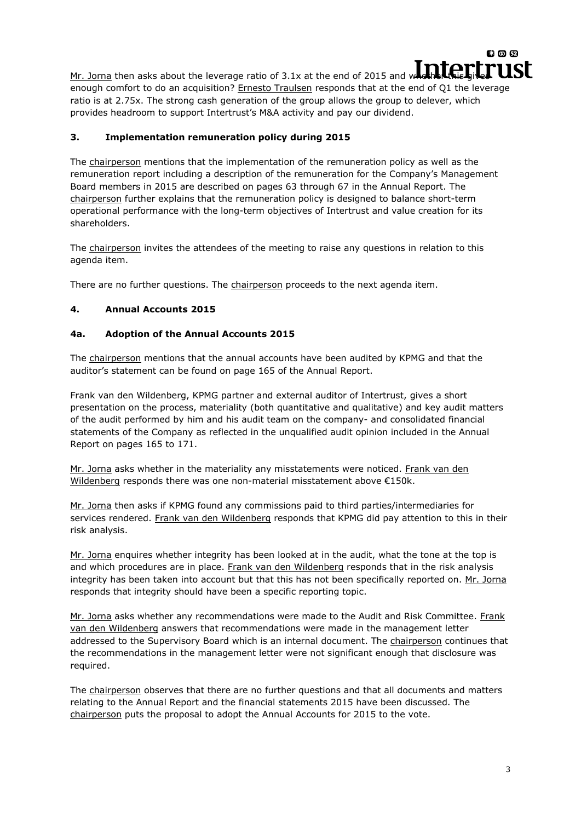Mr. Jorna then asks about the leverage ratio of 3.1x at the end of 2015 and whether this gives  $\blacksquare$ enough comfort to do an acquisition? Ernesto Traulsen responds that at the end of Q1 the leverage ratio is at 2.75x. The strong cash generation of the group allows the group to delever, which provides headroom to support Intertrust's M&A activity and pay our dividend.

# **3. Implementation remuneration policy during 2015**

The chairperson mentions that the implementation of the remuneration policy as well as the remuneration report including a description of the remuneration for the Company's Management Board members in 2015 are described on pages 63 through 67 in the Annual Report. The chairperson further explains that the remuneration policy is designed to balance short-term operational performance with the long-term objectives of Intertrust and value creation for its shareholders.

The chairperson invites the attendees of the meeting to raise any questions in relation to this agenda item.

There are no further questions. The chairperson proceeds to the next agenda item.

# **4. Annual Accounts 2015**

# **4a. Adoption of the Annual Accounts 2015**

The chairperson mentions that the annual accounts have been audited by KPMG and that the auditor's statement can be found on page 165 of the Annual Report.

Frank van den Wildenberg, KPMG partner and external auditor of Intertrust, gives a short presentation on the process, materiality (both quantitative and qualitative) and key audit matters of the audit performed by him and his audit team on the company- and consolidated financial statements of the Company as reflected in the unqualified audit opinion included in the Annual Report on pages 165 to 171.

Mr. Jorna asks whether in the materiality any misstatements were noticed. Frank van den Wildenberg responds there was one non-material misstatement above €150k.

Mr. Jorna then asks if KPMG found any commissions paid to third parties/intermediaries for services rendered. Frank van den Wildenberg responds that KPMG did pay attention to this in their risk analysis.

Mr. Jorna enquires whether integrity has been looked at in the audit, what the tone at the top is and which procedures are in place. Frank van den Wildenberg responds that in the risk analysis integrity has been taken into account but that this has not been specifically reported on. Mr. Jorna responds that integrity should have been a specific reporting topic.

Mr. Jorna asks whether any recommendations were made to the Audit and Risk Committee. Frank van den Wildenberg answers that recommendations were made in the management letter addressed to the Supervisory Board which is an internal document. The chairperson continues that the recommendations in the management letter were not significant enough that disclosure was required.

The chairperson observes that there are no further questions and that all documents and matters relating to the Annual Report and the financial statements 2015 have been discussed. The chairperson puts the proposal to adopt the Annual Accounts for 2015 to the vote.

 $00D$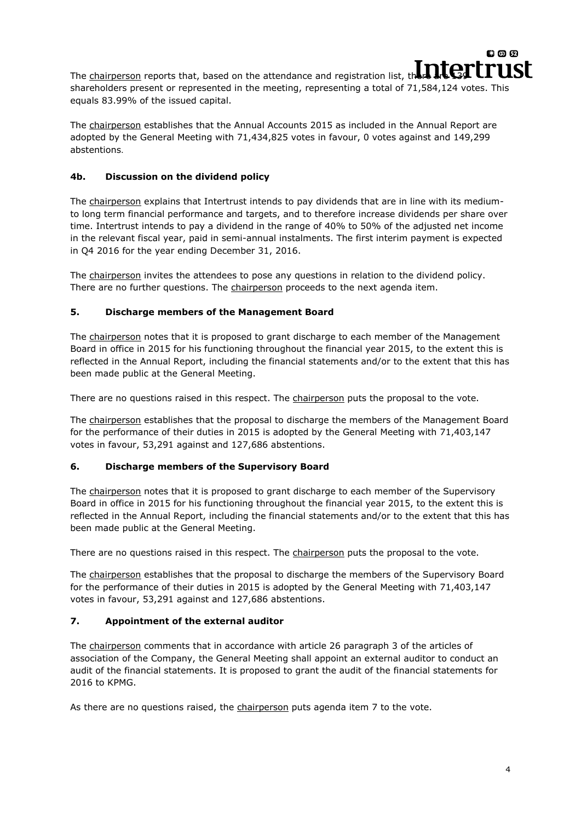The chairperson reports that, based on the attendance and registration list, there are  $\Gamma$ shareholders present or represented in the meeting, representing a total of 71,584,124 votes. This equals 83.99% of the issued capital.

The chairperson establishes that the Annual Accounts 2015 as included in the Annual Report are adopted by the General Meeting with 71,434,825 votes in favour, 0 votes against and 149,299 abstentions.

# **4b. Discussion on the dividend policy**

The chairperson explains that Intertrust intends to pay dividends that are in line with its mediumto long term financial performance and targets, and to therefore increase dividends per share over time. Intertrust intends to pay a dividend in the range of 40% to 50% of the adjusted net income in the relevant fiscal year, paid in semi-annual instalments. The first interim payment is expected in Q4 2016 for the year ending December 31, 2016.

The chairperson invites the attendees to pose any questions in relation to the dividend policy. There are no further questions. The chairperson proceeds to the next agenda item.

# **5. Discharge members of the Management Board**

The chairperson notes that it is proposed to grant discharge to each member of the Management Board in office in 2015 for his functioning throughout the financial year 2015, to the extent this is reflected in the Annual Report, including the financial statements and/or to the extent that this has been made public at the General Meeting.

There are no questions raised in this respect. The chairperson puts the proposal to the vote.

The chairperson establishes that the proposal to discharge the members of the Management Board for the performance of their duties in 2015 is adopted by the General Meeting with 71,403,147 votes in favour, 53,291 against and 127,686 abstentions.

## **6. Discharge members of the Supervisory Board**

The chairperson notes that it is proposed to grant discharge to each member of the Supervisory Board in office in 2015 for his functioning throughout the financial year 2015, to the extent this is reflected in the Annual Report, including the financial statements and/or to the extent that this has been made public at the General Meeting.

There are no questions raised in this respect. The chairperson puts the proposal to the vote.

The chairperson establishes that the proposal to discharge the members of the Supervisory Board for the performance of their duties in 2015 is adopted by the General Meeting with 71,403,147 votes in favour, 53,291 against and 127,686 abstentions.

## **7. Appointment of the external auditor**

The chairperson comments that in accordance with article 26 paragraph 3 of the articles of association of the Company, the General Meeting shall appoint an external auditor to conduct an audit of the financial statements. It is proposed to grant the audit of the financial statements for 2016 to KPMG.

As there are no questions raised, the chairperson puts agenda item 7 to the vote.

 $00D$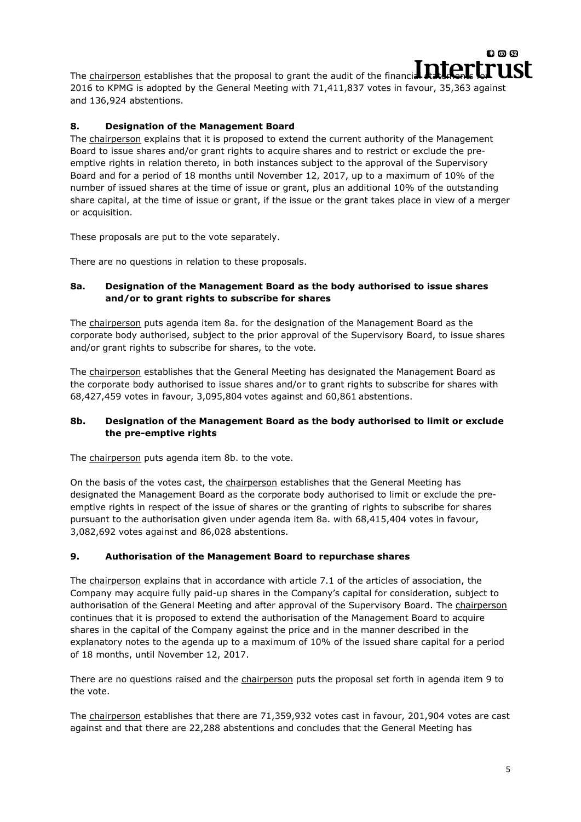The chairperson establishes that the proposal to grant the audit of the financial statements  $\Gamma$  USL 2016 to KPMG is adopted by the Carrier of the statement of the financial statements of the statement of the statement o 2016 to KPMG is adopted by the General Meeting with 71,411,837 votes in favour, 35,363 against and 136,924 abstentions.

# **8. Designation of the Management Board**

The chairperson explains that it is proposed to extend the current authority of the Management Board to issue shares and/or grant rights to acquire shares and to restrict or exclude the preemptive rights in relation thereto, in both instances subject to the approval of the Supervisory Board and for a period of 18 months until November 12, 2017, up to a maximum of 10% of the number of issued shares at the time of issue or grant, plus an additional 10% of the outstanding share capital, at the time of issue or grant, if the issue or the grant takes place in view of a merger or acquisition.

These proposals are put to the vote separately.

There are no questions in relation to these proposals.

## **8a. Designation of the Management Board as the body authorised to issue shares and/or to grant rights to subscribe for shares**

The chairperson puts agenda item 8a. for the designation of the Management Board as the corporate body authorised, subject to the prior approval of the Supervisory Board, to issue shares and/or grant rights to subscribe for shares, to the vote.

The chairperson establishes that the General Meeting has designated the Management Board as the corporate body authorised to issue shares and/or to grant rights to subscribe for shares with 68,427,459 votes in favour, 3,095,804 votes against and 60,861 abstentions.

## **8b. Designation of the Management Board as the body authorised to limit or exclude the pre-emptive rights**

The chairperson puts agenda item 8b. to the vote.

On the basis of the votes cast, the chairperson establishes that the General Meeting has designated the Management Board as the corporate body authorised to limit or exclude the preemptive rights in respect of the issue of shares or the granting of rights to subscribe for shares pursuant to the authorisation given under agenda item 8a. with 68,415,404 votes in favour, 3,082,692 votes against and 86,028 abstentions.

## **9. Authorisation of the Management Board to repurchase shares**

The chairperson explains that in accordance with article 7.1 of the articles of association, the Company may acquire fully paid-up shares in the Company's capital for consideration, subject to authorisation of the General Meeting and after approval of the Supervisory Board. The chairperson continues that it is proposed to extend the authorisation of the Management Board to acquire shares in the capital of the Company against the price and in the manner described in the explanatory notes to the agenda up to a maximum of 10% of the issued share capital for a period of 18 months, until November 12, 2017.

There are no questions raised and the chairperson puts the proposal set forth in agenda item 9 to the vote.

The chairperson establishes that there are 71,359,932 votes cast in favour, 201,904 votes are cast against and that there are 22,288 abstentions and concludes that the General Meeting has

**800**